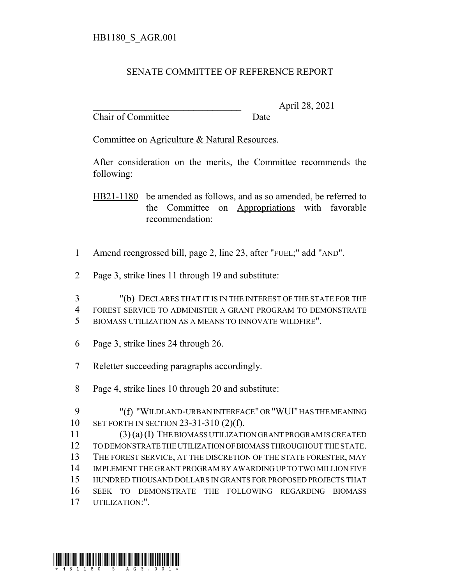## SENATE COMMITTEE OF REFERENCE REPORT

Chair of Committee Date

\_\_\_\_\_\_\_\_\_\_\_\_\_\_\_\_\_\_\_\_\_\_\_\_\_\_\_\_\_\_\_ April 28, 2021

Committee on Agriculture & Natural Resources.

After consideration on the merits, the Committee recommends the following:

HB21-1180 be amended as follows, and as so amended, be referred to the Committee on Appropriations with favorable recommendation:

- Amend reengrossed bill, page 2, line 23, after "FUEL;" add "AND".
- Page 3, strike lines 11 through 19 and substitute:
- "(b) DECLARES THAT IT IS IN THE INTEREST OF THE STATE FOR THE FOREST SERVICE TO ADMINISTER A GRANT PROGRAM TO DEMONSTRATE BIOMASS UTILIZATION AS A MEANS TO INNOVATE WILDFIRE".
- Page 3, strike lines 24 through 26.
- Reletter succeeding paragraphs accordingly.
- Page 4, strike lines 10 through 20 and substitute:

| - 9 | "(f) "WILDLAND-URBAN INTERFACE" OR "WUI" HAS THE MEANING |
|-----|----------------------------------------------------------|
|     | 10 SET FORTH IN SECTION 23-31-310 $(2)(f)$ .             |
|     |                                                          |

 (3) (a) (I) THE BIOMASS UTILIZATION GRANT PROGRAM IS CREATED TO DEMONSTRATE THE UTILIZATION OF BIOMASS THROUGHOUT THE STATE. THE FOREST SERVICE, AT THE DISCRETION OF THE STATE FORESTER, MAY IMPLEMENT THE GRANT PROGRAM BY AWARDING UP TO TWO MILLION FIVE HUNDRED THOUSAND DOLLARS IN GRANTS FOR PROPOSED PROJECTS THAT SEEK TO DEMONSTRATE THE FOLLOWING REGARDING BIOMASS UTILIZATION:".